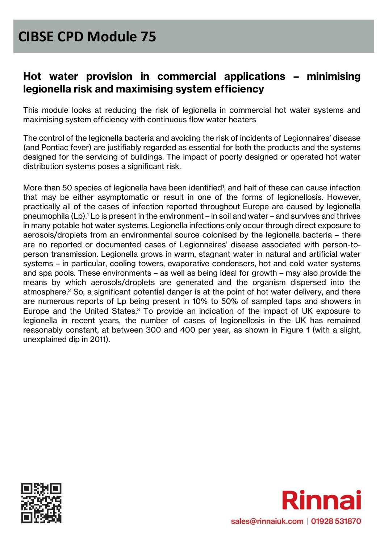#### **Hot water provision in commercial applications – minimising legionella risk and maximising system efficiency**

This module looks at reducing the risk of legionella in commercial hot water systems and maximising system efficiency with continuous flow water heaters

The control of the legionella bacteria and avoiding the risk of incidents of Legionnaires' disease (and Pontiac fever) are justifiably regarded as essential for both the products and the systems designed for the servicing of buildings. The impact of poorly designed or operated hot water distribution systems poses a significant risk.

More than 50 species of legionella have been identified<sup>1</sup>, and half of these can cause infection that may be either asymptomatic or result in one of the forms of legionellosis. However, practically all of the cases of infection reported throughout Europe are caused by legionella pneumophila  $(Lp)^{1}$ . Lp is present in the environment – in soil and water – and survives and thrives in many potable hot water systems. Legionella infections only occur through direct exposure to aerosols/droplets from an environmental source colonised by the legionella bacteria – there are no reported or documented cases of Legionnaires' disease associated with person-toperson transmission. Legionella grows in warm, stagnant water in natural and artificial water systems – in particular, cooling towers, evaporative condensers, hot and cold water systems and spa pools. These environments – as well as being ideal for growth – may also provide the means by which aerosols/droplets are generated and the organism dispersed into the atmosphere.<sup>2</sup> So, a significant potential danger is at the point of hot water delivery, and there are numerous reports of Lp being present in 10% to 50% of sampled taps and showers in Europe and the United States.<sup>3</sup> To provide an indication of the impact of UK exposure to legionella in recent years, the number of cases of legionellosis in the UK has remained reasonably constant, at between 300 and 400 per year, as shown in Figure 1 (with a slight, unexplained dip in 2011).



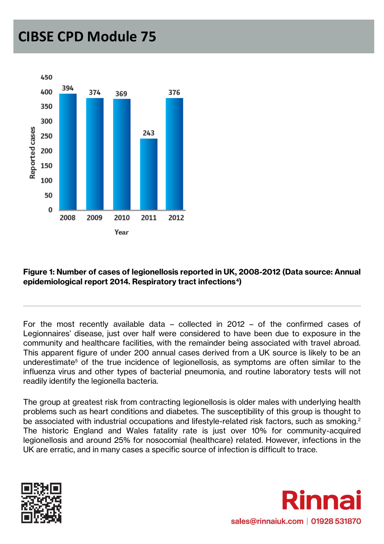

#### **Figure 1: Number of cases of legionellosis reported in UK, 2008-2012 (Data source: Annual epidemiological report 2014. Respiratory tract infections<sup>4</sup> )**

For the most recently available data – collected in 2012 – of the confirmed cases of Legionnaires' disease, just over half were considered to have been due to exposure in the community and healthcare facilities, with the remainder being associated with travel abroad. This apparent figure of under 200 annual cases derived from a UK source is likely to be an underestimate<sup>5</sup> of the true incidence of legionellosis, as symptoms are often similar to the influenza virus and other types of bacterial pneumonia, and routine laboratory tests will not readily identify the legionella bacteria.

The group at greatest risk from contracting legionellosis is older males with underlying health problems such as heart conditions and diabetes. The susceptibility of this group is thought to be associated with industrial occupations and lifestyle-related risk factors, such as smoking.<sup>2</sup> The historic England and Wales fatality rate is just over 10% for community-acquired legionellosis and around 25% for nosocomial (healthcare) related. However, infections in the UK are erratic, and in many cases a specific source of infection is difficult to trace.



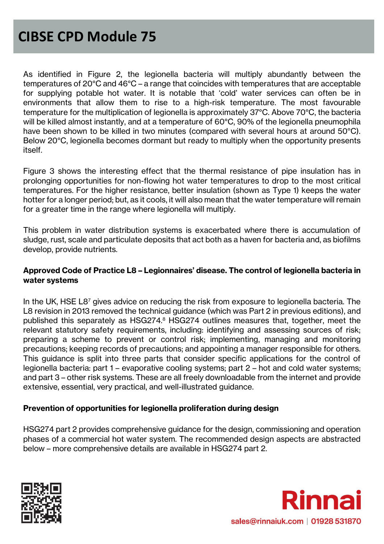As identified in Figure 2, the legionella bacteria will multiply abundantly between the temperatures of 20°C and 46°C – a range that coincides with temperatures that are acceptable for supplying potable hot water. It is notable that 'cold' water services can often be in environments that allow them to rise to a high-risk temperature. The most favourable temperature for the multiplication of legionella is approximately 37°C. Above 70°C, the bacteria will be killed almost instantly, and at a temperature of 60°C, 90% of the legionella pneumophila have been shown to be killed in two minutes (compared with several hours at around 50°C). Below 20°C, legionella becomes dormant but ready to multiply when the opportunity presents itself.

Figure 3 shows the interesting effect that the thermal resistance of pipe insulation has in prolonging opportunities for non-flowing hot water temperatures to drop to the most critical temperatures. For the higher resistance, better insulation (shown as Type 1) keeps the water hotter for a longer period; but, as it cools, it will also mean that the water temperature will remain for a greater time in the range where legionella will multiply.

This problem in water distribution systems is exacerbated where there is accumulation of sludge, rust, scale and particulate deposits that act both as a haven for bacteria and, as biofilms develop, provide nutrients.

#### **Approved Code of Practice L8 – Legionnaires' disease. The control of legionella bacteria in water systems**

In the UK, HSE L8<sup>7</sup> gives advice on reducing the risk from exposure to legionella bacteria. The L8 revision in 2013 removed the technical guidance (which was Part 2 in previous editions), and published this separately as HSG274.<sup>8</sup> HSG274 outlines measures that, together, meet the relevant statutory safety requirements, including: identifying and assessing sources of risk; preparing a scheme to prevent or control risk; implementing, managing and monitoring precautions; keeping records of precautions; and appointing a manager responsible for others. This guidance is split into three parts that consider specific applications for the control of legionella bacteria: part 1 – evaporative cooling systems; part 2 – hot and cold water systems; and part 3 – other risk systems. These are all freely downloadable from the internet and provide extensive, essential, very practical, and well-illustrated guidance.

#### **Prevention of opportunities for legionella proliferation during design**

HSG274 part 2 provides comprehensive guidance for the design, commissioning and operation phases of a commercial hot water system. The recommended design aspects are abstracted below – more comprehensive details are available in HSG274 part 2.



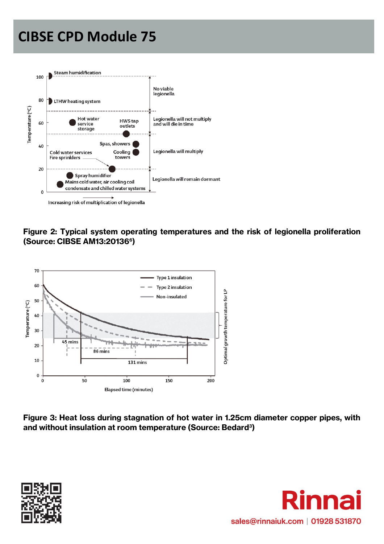

#### **Figure 2: Typical system operating temperatures and the risk of legionella proliferation (Source: CIBSE AM13:20136<sup>6</sup> )**



**Figure 3: Heat loss during stagnation of hot water in 1.25cm diameter copper pipes, with and without insulation at room temperature (Source: Bedard<sup>3</sup> )**



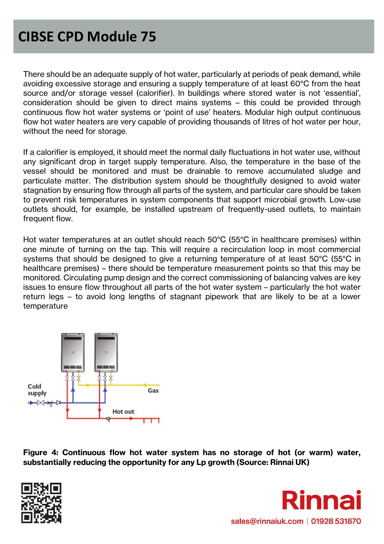There should be an adequate supply of hot water, particularly at periods of peak demand, while avoiding excessive storage and ensuring a supply temperature of at least 60°C from the heat source and/or storage vessel (calorifier). In buildings where stored water is not 'essential', consideration should be given to direct mains systems – this could be provided through continuous flow hot water systems or 'point of use' heaters. Modular high output continuous flow hot water heaters are very capable of providing thousands of litres of hot water per hour, without the need for storage.

If a calorifier is employed, it should meet the normal daily fluctuations in hot water use, without any significant drop in target supply temperature. Also, the temperature in the base of the vessel should be monitored and must be drainable to remove accumulated sludge and particulate matter. The distribution system should be thoughtfully designed to avoid water stagnation by ensuring flow through all parts of the system, and particular care should be taken to prevent risk temperatures in system components that support microbial growth. Low-use outlets should, for example, be installed upstream of frequently-used outlets, to maintain frequent flow.

Hot water temperatures at an outlet should reach 50°C (55°C in healthcare premises) within one minute of turning on the tap. This will require a recirculation loop in most commercial systems that should be designed to give a returning temperature of at least 50°C (55°C in healthcare premises) – there should be temperature measurement points so that this may be monitored. Circulating pump design and the correct commissioning of balancing valves are key issues to ensure flow throughout all parts of the hot water system – particularly the hot water return legs – to avoid long lengths of stagnant pipework that are likely to be at a lower temperature



**Figure 4: Continuous flow hot water system has no storage of hot (or warm) water, substantially reducing the opportunity for any Lp growth (Source: Rinnai UK)**



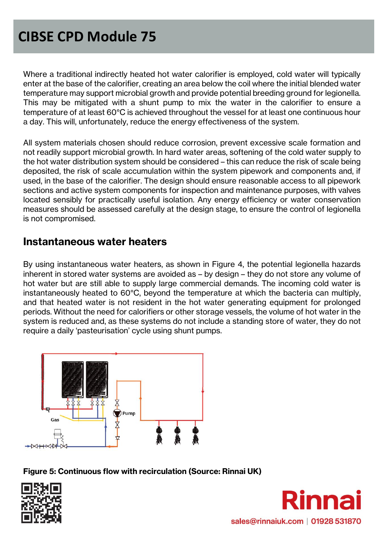Where a traditional indirectly heated hot water calorifier is employed, cold water will typically enter at the base of the calorifier, creating an area below the coil where the initial blended water temperature may support microbial growth and provide potential breeding ground for legionella. This may be mitigated with a shunt pump to mix the water in the calorifier to ensure a temperature of at least 60°C is achieved throughout the vessel for at least one continuous hour a day. This will, unfortunately, reduce the energy effectiveness of the system.

All system materials chosen should reduce corrosion, prevent excessive scale formation and not readily support microbial growth. In hard water areas, softening of the cold water supply to the hot water distribution system should be considered – this can reduce the risk of scale being deposited, the risk of scale accumulation within the system pipework and components and, if used, in the base of the calorifier. The design should ensure reasonable access to all pipework sections and active system components for inspection and maintenance purposes, with valves located sensibly for practically useful isolation. Any energy efficiency or water conservation measures should be assessed carefully at the design stage, to ensure the control of legionella is not compromised.

#### **Instantaneous water heaters**

By using instantaneous water heaters, as shown in Figure 4, the potential legionella hazards inherent in stored water systems are avoided as – by design – they do not store any volume of hot water but are still able to supply large commercial demands. The incoming cold water is instantaneously heated to 60°C, beyond the temperature at which the bacteria can multiply, and that heated water is not resident in the hot water generating equipment for prolonged periods. Without the need for calorifiers or other storage vessels, the volume of hot water in the system is reduced and, as these systems do not include a standing store of water, they do not require a daily 'pasteurisation' cycle using shunt pumps.



**Figure 5: Continuous flow with recirculation (Source: Rinnai UK)**



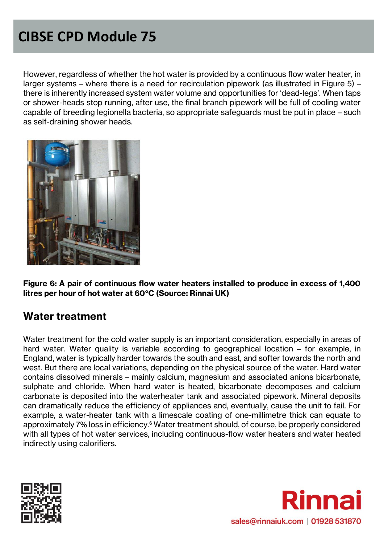However, regardless of whether the hot water is provided by a continuous flow water heater, in larger systems – where there is a need for recirculation pipework (as illustrated in Figure 5) – there is inherently increased system water volume and opportunities for 'dead-legs'. When taps or shower-heads stop running, after use, the final branch pipework will be full of cooling water capable of breeding legionella bacteria, so appropriate safeguards must be put in place – such as self-draining shower heads.



**Figure 6: A pair of continuous flow water heaters installed to produce in excess of 1,400 litres per hour of hot water at 60°C (Source: Rinnai UK)**

#### **Water treatment**

Water treatment for the cold water supply is an important consideration, especially in areas of hard water. Water quality is variable according to geographical location – for example, in England, water is typically harder towards the south and east, and softer towards the north and west. But there are local variations, depending on the physical source of the water. Hard water contains dissolved minerals – mainly calcium, magnesium and associated anions bicarbonate, sulphate and chloride. When hard water is heated, bicarbonate decomposes and calcium carbonate is deposited into the waterheater tank and associated pipework. Mineral deposits can dramatically reduce the efficiency of appliances and, eventually, cause the unit to fail. For example, a water-heater tank with a limescale coating of one-millimetre thick can equate to approximately 7% loss in efficiency.<sup>6</sup> Water treatment should, of course, be properly considered with all types of hot water services, including continuous-flow water heaters and water heated indirectly using calorifiers.